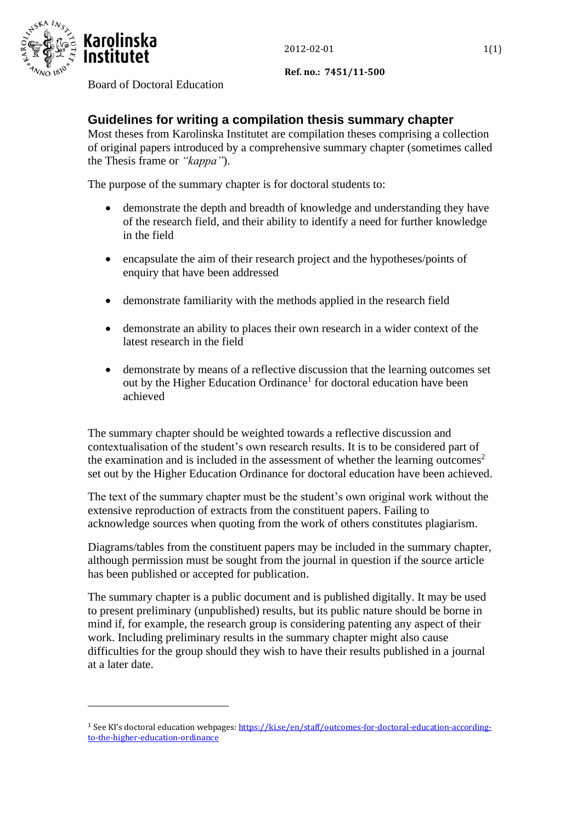

**Ref. no.: 7451/11-500**

## Board of Doctoral Education

## **Guidelines for writing a compilation thesis summary chapter**

Most theses from Karolinska Institutet are compilation theses comprising a collection of original papers introduced by a comprehensive summary chapter (sometimes called the Thesis frame or *"kappa"*).

The purpose of the summary chapter is for doctoral students to:

- demonstrate the depth and breadth of knowledge and understanding they have of the research field, and their ability to identify a need for further knowledge in the field
- encapsulate the aim of their research project and the hypotheses/points of enquiry that have been addressed
- demonstrate familiarity with the methods applied in the research field
- demonstrate an ability to places their own research in a wider context of the latest research in the field
- demonstrate by means of a reflective discussion that the learning outcomes set out by the Higher Education Ordinance<sup>1</sup> for doctoral education have been achieved

The summary chapter should be weighted towards a reflective discussion and contextualisation of the student's own research results. It is to be considered part of the examination and is included in the assessment of whether the learning outcomes<sup>2</sup> set out by the Higher Education Ordinance for doctoral education have been achieved.

The text of the summary chapter must be the student's own original work without the extensive reproduction of extracts from the constituent papers. Failing to acknowledge sources when quoting from the work of others constitutes plagiarism.

Diagrams/tables from the constituent papers may be included in the summary chapter, although permission must be sought from the journal in question if the source article has been published or accepted for publication.

The summary chapter is a public document and is published digitally. It may be used to present preliminary (unpublished) results, but its public nature should be borne in mind if, for example, the research group is considering patenting any aspect of their work. Including preliminary results in the summary chapter might also cause difficulties for the group should they wish to have their results published in a journal at a later date.

<sup>&</sup>lt;sup>1</sup> See KI's doctoral education webpages[: https://ki.se/en/staff/outcomes-for-doctoral-education-according](https://ki.se/en/staff/outcomes-for-doctoral-education-according-to-the-higher-education-ordinance)[to-the-higher-education-ordinance](https://ki.se/en/staff/outcomes-for-doctoral-education-according-to-the-higher-education-ordinance)